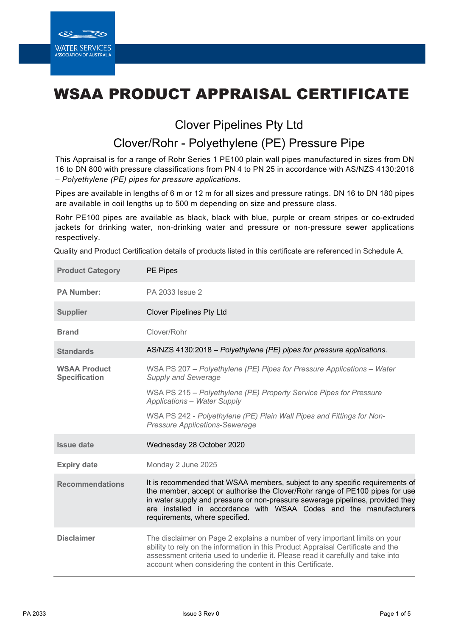# WSAA PRODUCT APPRAISAL CERTIFICATE

## Clover Pipelines Pty Ltd

## Clover/Rohr - Polyethylene (PE) Pressure Pipe

This Appraisal is for a range of Rohr Series 1 PE100 plain wall pipes manufactured in sizes from DN 16 to DN 800 with pressure classifications from PN 4 to PN 25 in accordance with AS/NZS 4130:2018 – *Polyethylene (PE) pipes for pressure applications*.

Pipes are available in lengths of 6 m or 12 m for all sizes and pressure ratings. DN 16 to DN 180 pipes are available in coil lengths up to 500 m depending on size and pressure class.

Rohr PE100 pipes are available as black, black with blue, purple or cream stripes or co-extruded jackets for drinking water, non-drinking water and pressure or non-pressure sewer applications respectively.

Quality and Product Certification details of products listed in this certificate are referenced in Schedule A.

| <b>Product Category</b>                     | PE Pipes                                                                                                                                                                                                                                                                                                                                              |
|---------------------------------------------|-------------------------------------------------------------------------------------------------------------------------------------------------------------------------------------------------------------------------------------------------------------------------------------------------------------------------------------------------------|
| <b>PA Number:</b>                           | PA 2033 Issue 2                                                                                                                                                                                                                                                                                                                                       |
| <b>Supplier</b>                             | <b>Clover Pipelines Pty Ltd</b>                                                                                                                                                                                                                                                                                                                       |
| <b>Brand</b>                                | Clover/Rohr                                                                                                                                                                                                                                                                                                                                           |
| <b>Standards</b>                            | AS/NZS 4130:2018 - Polyethylene (PE) pipes for pressure applications.                                                                                                                                                                                                                                                                                 |
| <b>WSAA Product</b><br><b>Specification</b> | WSA PS 207 - Polyethylene (PE) Pipes for Pressure Applications - Water<br><b>Supply and Sewerage</b>                                                                                                                                                                                                                                                  |
|                                             | WSA PS 215 - Polyethylene (PE) Property Service Pipes for Pressure<br><b>Applications - Water Supply</b>                                                                                                                                                                                                                                              |
|                                             | WSA PS 242 - Polyethylene (PE) Plain Wall Pipes and Fittings for Non-<br><b>Pressure Applications-Sewerage</b>                                                                                                                                                                                                                                        |
| <b>Issue date</b>                           | Wednesday 28 October 2020                                                                                                                                                                                                                                                                                                                             |
| <b>Expiry date</b>                          | Monday 2 June 2025                                                                                                                                                                                                                                                                                                                                    |
| <b>Recommendations</b>                      | It is recommended that WSAA members, subject to any specific requirements of<br>the member, accept or authorise the Clover/Rohr range of PE100 pipes for use<br>in water supply and pressure or non-pressure sewerage pipelines, provided they<br>are installed in accordance with WSAA Codes and the manufacturers<br>requirements, where specified. |
| <b>Disclaimer</b>                           | The disclaimer on Page 2 explains a number of very important limits on your<br>ability to rely on the information in this Product Appraisal Certificate and the<br>assessment criteria used to underlie it. Please read it carefully and take into<br>account when considering the content in this Certificate.                                       |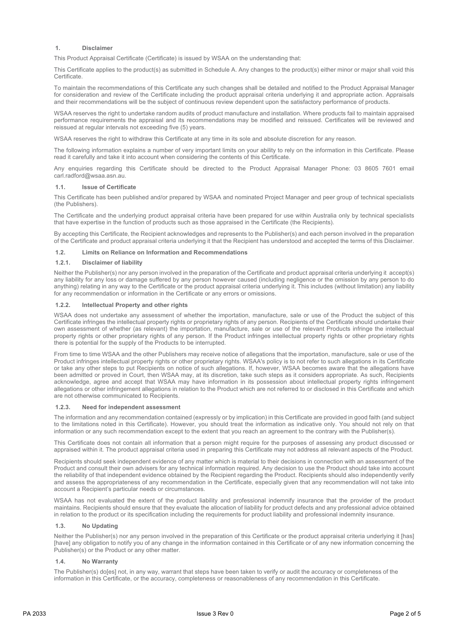#### **1. Disclaimer**

This Product Appraisal Certificate (Certificate) is issued by WSAA on the understanding that:

This Certificate applies to the product(s) as submitted in Schedule A. Any changes to the product(s) either minor or major shall void this Certificate.

To maintain the recommendations of this Certificate any such changes shall be detailed and notified to the Product Appraisal Manager for consideration and review of the Certificate including the product appraisal criteria underlying it and appropriate action. Appraisals and their recommendations will be the subject of continuous review dependent upon the satisfactory performance of products.

WSAA reserves the right to undertake random audits of product manufacture and installation. Where products fail to maintain appraised performance requirements the appraisal and its recommendations may be modified and reissued. Certificates will be reviewed and reissued at regular intervals not exceeding five (5) years.

WSAA reserves the right to withdraw this Certificate at any time in its sole and absolute discretion for any reason.

The following information explains a number of very important limits on your ability to rely on the information in this Certificate. Please read it carefully and take it into account when considering the contents of this Certificate.

Any enquiries regarding this Certificate should be directed to the Product Appraisal Manager Phone: 03 8605 7601 email carl.radford@wsaa.asn.au.

#### **1.1. Issue of Certificate**

This Certificate has been published and/or prepared by WSAA and nominated Project Manager and peer group of technical specialists (the Publishers).

The Certificate and the underlying product appraisal criteria have been prepared for use within Australia only by technical specialists that have expertise in the function of products such as those appraised in the Certificate (the Recipients).

By accepting this Certificate, the Recipient acknowledges and represents to the Publisher(s) and each person involved in the preparation of the Certificate and product appraisal criteria underlying it that the Recipient has understood and accepted the terms of this Disclaimer.

#### **1.2. Limits on Reliance on Information and Recommendations**

#### **1.2.1. Disclaimer of liability**

Neither the Publisher(s) nor any person involved in the preparation of the Certificate and product appraisal criteria underlying it accept(s) any liability for any loss or damage suffered by any person however caused (including negligence or the omission by any person to do anything) relating in any way to the Certificate or the product appraisal criteria underlying it. This includes (without limitation) any liability for any recommendation or information in the Certificate or any errors or omissions.

#### **1.2.2. Intellectual Property and other rights**

WSAA does not undertake any assessment of whether the importation, manufacture, sale or use of the Product the subject of this Certificate infringes the intellectual property rights or proprietary rights of any person. Recipients of the Certificate should undertake their own assessment of whether (as relevant) the importation, manufacture, sale or use of the relevant Products infringe the intellectual property rights or other proprietary rights of any person. If the Product infringes intellectual property rights or other proprietary rights there is potential for the supply of the Products to be interrupted.

From time to time WSAA and the other Publishers may receive notice of allegations that the importation, manufacture, sale or use of the Product infringes intellectual property rights or other proprietary rights. WSAA's policy is to not refer to such allegations in its Certificate or take any other steps to put Recipients on notice of such allegations. If, however, WSAA becomes aware that the allegations have been admitted or proved in Court, then WSAA may, at its discretion, take such steps as it considers appropriate. As such, Recipients acknowledge, agree and accept that WSAA may have information in its possession about intellectual property rights infringement allegations or other infringement allegations in relation to the Product which are not referred to or disclosed in this Certificate and which are not otherwise communicated to Recipients.

#### **1.2.3. Need for independent assessment**

The information and any recommendation contained (expressly or by implication) in this Certificate are provided in good faith (and subject to the limitations noted in this Certificate). However, you should treat the information as indicative only. You should not rely on that information or any such recommendation except to the extent that you reach an agreement to the contrary with the Publisher(s).

This Certificate does not contain all information that a person might require for the purposes of assessing any product discussed or appraised within it. The product appraisal criteria used in preparing this Certificate may not address all relevant aspects of the Product.

Recipients should seek independent evidence of any matter which is material to their decisions in connection with an assessment of the Product and consult their own advisers for any technical information required. Any decision to use the Product should take into account the reliability of that independent evidence obtained by the Recipient regarding the Product. Recipients should also independently verify and assess the appropriateness of any recommendation in the Certificate, especially given that any recommendation will not take into account a Recipient's particular needs or circumstances.

WSAA has not evaluated the extent of the product liability and professional indemnify insurance that the provider of the product maintains. Recipients should ensure that they evaluate the allocation of liability for product defects and any professional advice obtained in relation to the product or its specification including the requirements for product liability and professional indemnity insurance.

#### **1.3. No Updating**

Neither the Publisher(s) nor any person involved in the preparation of this Certificate or the product appraisal criteria underlying it [has] [have] any obligation to notify you of any change in the information contained in this Certificate or of any new information concerning the Publisher(s) or the Product or any other matter.

#### **1.4. No Warranty**

The Publisher(s) do[es] not, in any way, warrant that steps have been taken to verify or audit the accuracy or completeness of the information in this Certificate, or the accuracy, completeness or reasonableness of any recommendation in this Certificate.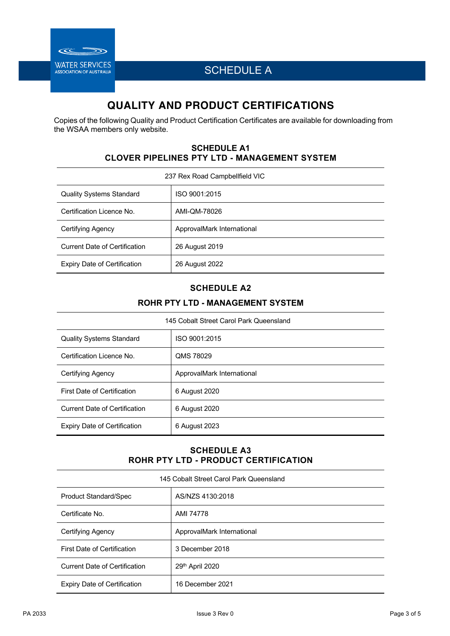

SCHEDULE A

## **QUALITY AND PRODUCT CERTIFICATIONS**

Copies of the following Quality and Product Certification Certificates are available for downloading from the WSAA members only website.

### **SCHEDULE A1 CLOVER PIPELINES PTY LTD - MANAGEMENT SYSTEM**

| 237 Rex Road Campbellfield VIC       |                            |  |  |  |  |
|--------------------------------------|----------------------------|--|--|--|--|
| <b>Quality Systems Standard</b>      | ISO 9001:2015              |  |  |  |  |
| Certification Licence No.            | AMI-QM-78026               |  |  |  |  |
| Certifying Agency                    | ApprovalMark International |  |  |  |  |
| <b>Current Date of Certification</b> | 26 August 2019             |  |  |  |  |
| Expiry Date of Certification         | 26 August 2022             |  |  |  |  |

### **SCHEDULE A2**

### **ROHR PTY LTD - MANAGEMENT SYSTEM**

| 145 Cobalt Street Carol Park Queensland |                            |  |  |  |  |
|-----------------------------------------|----------------------------|--|--|--|--|
| <b>Quality Systems Standard</b>         | ISO 9001:2015              |  |  |  |  |
| Certification Licence No.               | QMS 78029                  |  |  |  |  |
| Certifying Agency                       | ApprovalMark International |  |  |  |  |
| First Date of Certification             | 6 August 2020              |  |  |  |  |
| Current Date of Certification           | 6 August 2020              |  |  |  |  |
| <b>Expiry Date of Certification</b>     | 6 August 2023              |  |  |  |  |

### **SCHEDULE A3 ROHR PTY LTD - PRODUCT CERTIFICATION**

| 145 Cobalt Street Carol Park Queensland |                            |  |  |  |  |  |
|-----------------------------------------|----------------------------|--|--|--|--|--|
| <b>Product Standard/Spec</b>            | AS/NZS 4130:2018           |  |  |  |  |  |
| Certificate No.                         | AMI 74778                  |  |  |  |  |  |
| Certifying Agency                       | ApprovalMark International |  |  |  |  |  |
| <b>First Date of Certification</b>      | 3 December 2018            |  |  |  |  |  |
| <b>Current Date of Certification</b>    | 29th April 2020            |  |  |  |  |  |
| Expiry Date of Certification            | 16 December 2021           |  |  |  |  |  |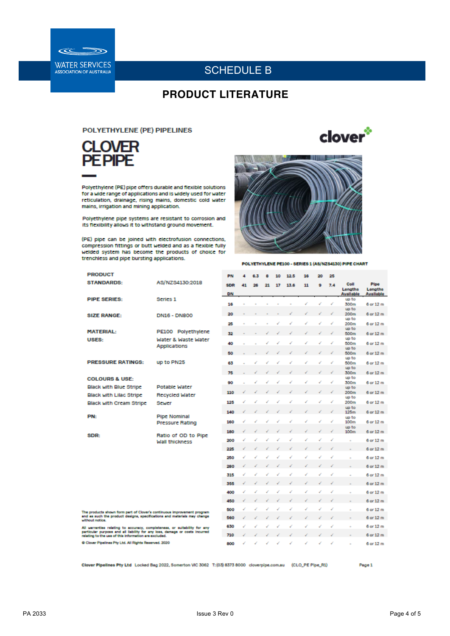

## SCHEDULE B

## **PRODUCT LITERATURE**

### **POLYETHYLENE (PE) PIPELINES**



Polyethylene (PE) pipe offers durable and flexible solutions<br>for a wide range of applications and is widely used for water<br>reticulation, drainage, rising malins, domestic cold water mains, irrigation and mining application.

Polyethylene pipe systems are resistant to corrosion and its flexibility allows it to withstand ground movement.

(PE) pipe can be joined with electrofusion connections, compression fittings or butt welded and as a flexible fully welded system has become the products of choice for trenchless and pipe bursting applications.



clover<sup>\*</sup>

POLYETHYLENE PE100 - SERIES 1 (AS/NZS4130) PIPE CHART

| <b>PRODUCT</b>                                                                                                                                                                                                   |                                            | PN         | Δ  | 6.3 | 8  | 10 | 12.5 | 16 | 20 | 25  |                             |                      |
|------------------------------------------------------------------------------------------------------------------------------------------------------------------------------------------------------------------|--------------------------------------------|------------|----|-----|----|----|------|----|----|-----|-----------------------------|----------------------|
| <b>STANDARDS:</b>                                                                                                                                                                                                | AS/NZS4130:2018                            | <b>SDR</b> | 41 | 26  | 21 | 17 | 13.6 | 11 | ٥  | 7.4 | Coll                        | Pipe                 |
|                                                                                                                                                                                                                  |                                            | DN         |    |     |    |    |      |    |    |     | Lengths<br><b>Available</b> | Lengths<br>Available |
| <b>PIPE SERIES:</b>                                                                                                                                                                                              | Series <sub>1</sub>                        | 16         |    |     |    |    |      |    |    | d   | up to<br>300m               | 6 or 12 m            |
|                                                                                                                                                                                                                  |                                            |            |    |     |    |    |      |    |    |     | up to                       |                      |
| <b>SIZE RANGE:</b>                                                                                                                                                                                               | <b>DN16 - DN800</b>                        | 20         |    |     |    |    |      |    |    |     | 200m                        | 6 or 12 m            |
|                                                                                                                                                                                                                  |                                            | 25         |    |     |    |    |      |    |    |     | up to<br>200m               | 6 or 12 m            |
| <b>MATERIAL:</b>                                                                                                                                                                                                 | PE100 Polyethylene                         |            |    |     |    |    |      |    |    |     | up to                       |                      |
| USES:                                                                                                                                                                                                            |                                            | 32         |    |     |    |    |      |    |    |     | 500m<br>up to               | 6 or 12 m            |
|                                                                                                                                                                                                                  | Water & Waste Water<br><b>Applications</b> | 40         |    |     |    |    |      |    |    |     | 500m                        | 6 or 12 m            |
|                                                                                                                                                                                                                  |                                            | 50         |    |     |    |    |      |    |    |     | up to<br>500m               | 6 or 12 m            |
|                                                                                                                                                                                                                  |                                            |            |    |     |    |    |      |    |    |     | up to                       |                      |
| <b>PRESSURE RATINGS:</b>                                                                                                                                                                                         | up to PN25                                 | 63         |    |     |    |    |      |    |    |     | 500m                        | 6 or 12 m            |
|                                                                                                                                                                                                                  |                                            | 75         |    |     |    |    |      |    |    |     | up to<br>300m               | 6 or 12 m            |
| <b>COLOURS &amp; USE:</b>                                                                                                                                                                                        |                                            |            |    |     |    |    |      |    |    |     | up to                       |                      |
| <b>Black with Blue Stripe</b>                                                                                                                                                                                    | <b>Potable Water</b>                       | 90         |    |     |    |    |      |    |    |     | 300m<br>up to               | 6 or 12 m            |
|                                                                                                                                                                                                                  |                                            | 110        |    |     |    |    |      |    |    |     | 200m                        | 6 or 12 m            |
| Black with Lilac Stripe                                                                                                                                                                                          | Recycled Water                             |            |    |     |    |    |      |    |    | ر   | up to                       |                      |
| <b>Black with Cream Stripe</b>                                                                                                                                                                                   | <b>Scwer</b>                               | 125        |    |     |    |    |      |    |    |     | 200m<br>up to               | 6 or 12 m            |
|                                                                                                                                                                                                                  |                                            | 140        |    |     |    |    |      |    |    |     | 125m                        | 6 or 12 m            |
| PN:                                                                                                                                                                                                              | <b>Pipe Nominal</b>                        | 160        |    |     |    |    |      |    |    |     | up to<br>100m               | 6 or 12 m            |
|                                                                                                                                                                                                                  | <b>Pressure Rating</b>                     |            |    |     |    |    |      |    |    |     | up to                       |                      |
| SDR:                                                                                                                                                                                                             | Ratio of OD to Pipe                        | 180        |    |     |    |    |      |    |    |     | 100 <sub>m</sub>            | 6 or 12 m            |
|                                                                                                                                                                                                                  | <b>Wall thickness</b>                      | 200        |    |     |    |    |      |    |    |     |                             | 6 or 12 m            |
|                                                                                                                                                                                                                  |                                            | 225        |    |     |    |    |      |    |    |     |                             | 6 or 12 m            |
|                                                                                                                                                                                                                  |                                            |            |    |     |    |    |      |    |    |     |                             |                      |
|                                                                                                                                                                                                                  |                                            | 250        |    |     |    |    |      |    |    |     |                             | 6 or 12 m            |
|                                                                                                                                                                                                                  |                                            | 280        |    |     |    |    |      |    |    |     |                             | 6 or 12 m            |
|                                                                                                                                                                                                                  |                                            | 315        |    |     |    |    |      |    |    |     |                             | 6 or 12 m            |
|                                                                                                                                                                                                                  |                                            | 355        |    |     |    |    |      |    |    |     |                             | 6 or 12 m            |
|                                                                                                                                                                                                                  |                                            |            |    |     | ر  |    |      |    |    |     |                             |                      |
|                                                                                                                                                                                                                  |                                            | 400        | ر  | ر   |    |    | ر    | v  |    | ₽   |                             | 6 or 12 m            |
|                                                                                                                                                                                                                  |                                            | 450        |    |     |    |    |      |    |    |     |                             | 6 or 12 m            |
| The products shown form part of Clover's continuous improvement program                                                                                                                                          |                                            | 500        |    |     |    |    |      |    |    |     |                             | 6 or 12 m            |
| and as such the product designs, specifications and materials may change                                                                                                                                         |                                            | 560        |    |     |    |    |      |    |    |     |                             | 6 or 12 m            |
| without notice.                                                                                                                                                                                                  |                                            | 630        |    |     |    |    |      |    |    |     |                             | 6 or 12 m            |
| All warranties relating to accuracy, completeness, or suitability for any<br>particular purpose and all lability for any loss, damage or costs incurred<br>relating to the use of this information are excluded. |                                            |            |    |     |    |    |      |    |    |     |                             |                      |
|                                                                                                                                                                                                                  |                                            | 710        |    |     |    |    |      |    |    |     |                             | 6 or 12 m            |
| Clover Pipelines Pty Ltd. All Rights Reserved. 2020                                                                                                                                                              |                                            | 800        |    |     |    |    |      |    |    |     |                             | 6 or 12 m            |
|                                                                                                                                                                                                                  |                                            |            |    |     |    |    |      |    |    |     |                             |                      |
|                                                                                                                                                                                                                  |                                            |            |    |     |    |    |      |    |    |     |                             |                      |

Clover Pipelines Pty Ltd Locked Bag 2022, Somerton VIC 3062 T: (03) 8373 8000 cloverpipe.com.au (CLO\_PE Pipe\_RI)

Page 1